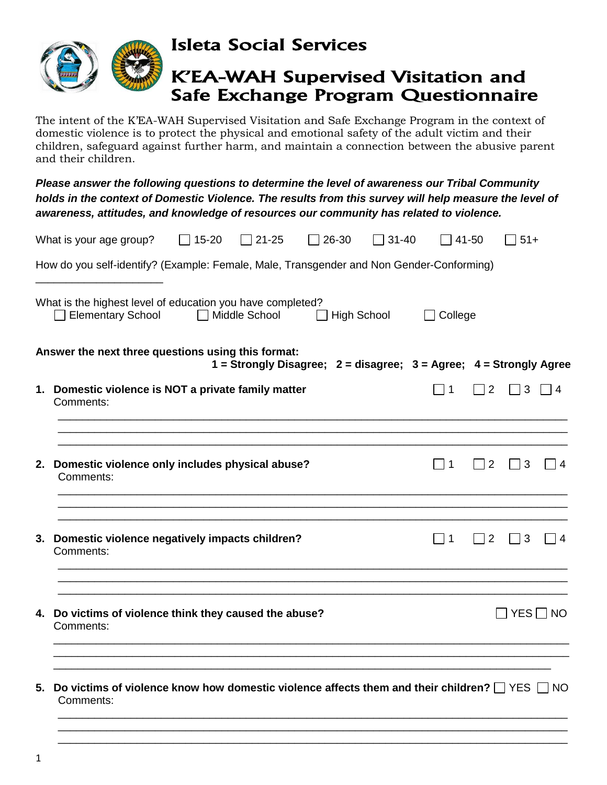

Isleta Social Services

## K'EA-WAH Supervised Visitation and Safe Exchange Program Questionnaire

The intent of the K'EA-WAH Supervised Visitation and Safe Exchange Program in the context of domestic violence is to protect the physical and emotional safety of the adult victim and their children, safeguard against further harm, and maintain a connection between the abusive parent and their children.

*Please answer the following questions to determine the level of awareness our Tribal Community holds in the context of Domestic Violence. The results from this survey will help measure the level of awareness, attitudes, and knowledge of resources our community has related to violence.*

|    | What is your age group?                                                                                              | $\Box$ 15-20    | $\Box$ 21-25 | $\Box$ 26-30                                                       | $\Box$ 31-40 |                   | 41-50         | $\overline{)}51+$        |          |
|----|----------------------------------------------------------------------------------------------------------------------|-----------------|--------------|--------------------------------------------------------------------|--------------|-------------------|---------------|--------------------------|----------|
|    | How do you self-identify? (Example: Female, Male, Transgender and Non Gender-Conforming)                             |                 |              |                                                                    |              |                   |               |                          |          |
|    | What is the highest level of education you have completed?<br><b>Elementary School</b>                               | □ Middle School |              | $\exists$ High School                                              |              | College<br>$\Box$ |               |                          |          |
|    | Answer the next three questions using this format:                                                                   |                 |              | 1 = Strongly Disagree; 2 = disagree; 3 = Agree; 4 = Strongly Agree |              |                   |               |                          |          |
|    | 1. Domestic violence is NOT a private family matter<br>Comments:                                                     |                 |              |                                                                    |              | $\Box$ 1          | $\sqsupset$ 2 | $\Box$ 3                 | $\Box$ 4 |
|    | 2. Domestic violence only includes physical abuse?<br>Comments:                                                      |                 |              |                                                                    |              | l 11              | $\sqsupset$ 2 | $\Box$ 3                 | 4        |
| 3. | Domestic violence negatively impacts children?<br>Comments:                                                          |                 |              |                                                                    |              | $\Box$ 1          | $\sqsupset$ 2 | $\Box$ 3                 | 4        |
| 4. | Do victims of violence think they caused the abuse?<br>Comments:                                                     |                 |              |                                                                    |              |                   |               | $\sqcap$ YES $\sqcap$ NO |          |
| 5. | Do victims of violence know how domestic violence affects them and their children? $\Box$ YES $\Box$ NO<br>Comments: |                 |              |                                                                    |              |                   |               |                          |          |
|    |                                                                                                                      |                 |              |                                                                    |              |                   |               |                          |          |

\_\_\_\_\_\_\_\_\_\_\_\_\_\_\_\_\_\_\_\_\_\_\_\_\_\_\_\_\_\_\_\_\_\_\_\_\_\_\_\_\_\_\_\_\_\_\_\_\_\_\_\_\_\_\_\_\_\_\_\_\_\_\_\_\_\_\_\_\_\_\_\_\_\_\_\_\_\_\_\_\_\_\_\_